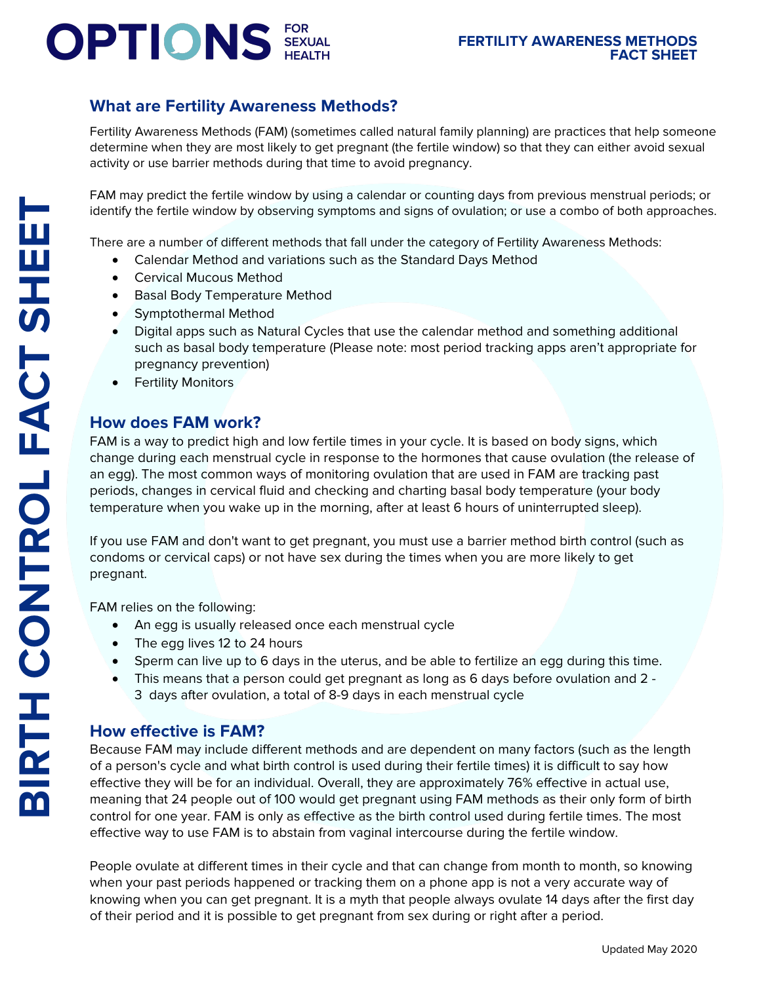# **OPTIONS** SEXUAL

## **What are Fertility Awareness Methods?**

Fertility Awareness Methods (FAM) (sometimes called natural family planning) are practices that help someone determine when they are most likely to get pregnant (the fertile window) so that they can either avoid sexual activity or use barrier methods during that time to avoid pregnancy.

FAM may predict the fertile window by using a calendar or counting days from previous menstrual periods; or identify the fertile window by observing symptoms and signs of ovulation; or use a combo of both approaches.

There are a number of different methods that fall under the category of Fertility Awareness Methods:

- Calendar Method and variations such as the Standard Days Method
- Cervical Mucous Method
- Basal Body Temperature Method
- Symptothermal Method
- Digital apps such as Natural Cycles that use the calendar method and something additional such as basal body temperature (Please note: most period tracking apps aren't appropriate for pregnancy prevention)
- Fertility Monitors

## **How does FAM work?**

FAM is a way to predict high and low fertile times in your cycle. It is based on body signs, which change during each menstrual cycle in response to the hormones that cause ovulation (the release of an egg). The most common ways of monitoring ovulation that are used in FAM are tracking past periods, changes in cervical fluid and checking and charting basal body temperature (your body temperature when you wake up in the morning, after at least 6 hours of uninterrupted sleep).

If you use FAM and don't want to get pregnant, you must use a barrier method birth control (such as condoms or cervical caps) or not have sex during the times when you are more likely to get pregnant.

FAM relies on the following:

- An egg is usually released once each menstrual cycle
- The egg lives 12 to 24 hours
- Sperm can live up to 6 days in the uterus, and be able to fertilize an egg during this time.
- This means that a person could get pregnant as long as 6 days before ovulation and 2 3 days after ovulation, a total of 8-9 days in each menstrual cycle

#### **How effective is FAM?**

Because FAM may include different methods and are dependent on many factors (such as the length of a person's cycle and what birth control is used during their fertile times) it is difficult to say how effective they will be for an individual. Overall, they are approximately 76% effective in actual use, meaning that 24 people out of 100 would get pregnant using FAM methods as their only form of birth control for one year. FAM is only as effective as the birth control used during fertile times. The most effective way to use FAM is to abstain from vaginal intercourse during the fertile window.

People ovulate at different times in their cycle and that can change from month to month, so knowing when your past periods happened or tracking them on a phone app is not a very accurate way of knowing when you can get pregnant. It is a myth that people always ovulate 14 days after the first day of their period and it is possible to get pregnant from sex during or right after a period.